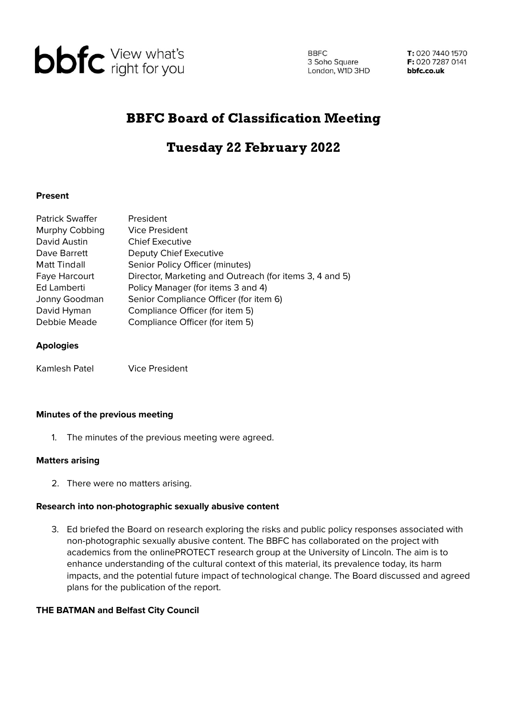

**BBFC** 3 Soho Square London, W1D 3HD

T: 020 7440 1570 F: 020 7287 0141 bbfc.co.uk

## BBFC Board of Classification Meeting

# Tuesday 22 February 2022

#### **Present**

| <b>Patrick Swaffer</b> | President                                               |
|------------------------|---------------------------------------------------------|
| Murphy Cobbing         | <b>Vice President</b>                                   |
| David Austin           | <b>Chief Executive</b>                                  |
| Dave Barrett           | Deputy Chief Executive                                  |
| Matt Tindall           | Senior Policy Officer (minutes)                         |
| Faye Harcourt          | Director, Marketing and Outreach (for items 3, 4 and 5) |
| Ed Lamberti            | Policy Manager (for items 3 and 4)                      |
| Jonny Goodman          | Senior Compliance Officer (for item 6)                  |
| David Hyman            | Compliance Officer (for item 5)                         |
| Debbie Meade           | Compliance Officer (for item 5)                         |
|                        |                                                         |

#### **Apologies**

Kamlesh Patel Vice President

### **Minutes of the previous meeting**

1. The minutes of the previous meeting were agreed.

#### **Matters arising**

2. There were no matters arising.

#### **Research into non-photographic sexually abusive content**

3. Ed briefed the Board on research exploring the risks and public policy responses associated with non-photographic sexually abusive content. The BBFC has collaborated on the project with academics from the onlinePROTECT research group at the University of Lincoln. The aim is to enhance understanding of the cultural context of this material, its prevalence today, its harm impacts, and the potential future impact of technological change. The Board discussed and agreed plans for the publication of the report.

#### **THE BATMAN and Belfast City Council**